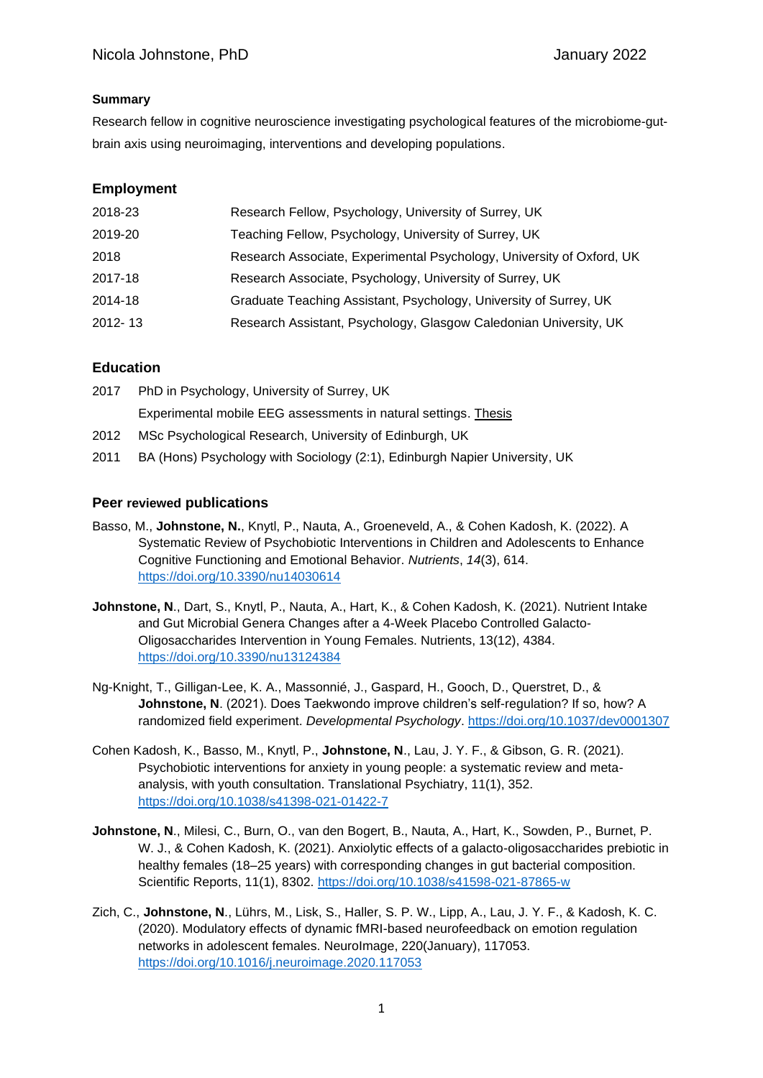#### **Summary**

Research fellow in cognitive neuroscience investigating psychological features of the microbiome-gutbrain axis using neuroimaging, interventions and developing populations.

# **Employment**

| 2018-23     | Research Fellow, Psychology, University of Surrey, UK                 |
|-------------|-----------------------------------------------------------------------|
| 2019-20     | Teaching Fellow, Psychology, University of Surrey, UK                 |
| 2018        | Research Associate, Experimental Psychology, University of Oxford, UK |
| 2017-18     | Research Associate, Psychology, University of Surrey, UK              |
| 2014-18     | Graduate Teaching Assistant, Psychology, University of Surrey, UK     |
| $2012 - 13$ | Research Assistant, Psychology, Glasgow Caledonian University, UK     |
|             |                                                                       |

# **Education**

| 2017 | PhD in Psychology, University of Surrey, UK                     |
|------|-----------------------------------------------------------------|
|      | Experimental mobile EEG assessments in natural settings. Thesis |
| 2012 | MSc Psychological Research, University of Edinburgh, UK         |

2011 BA (Hons) Psychology with Sociology (2:1), Edinburgh Napier University, UK

### **Peer reviewed publications**

- Basso, M., **Johnstone, N.**, Knytl, P., Nauta, A., Groeneveld, A., & Cohen Kadosh, K. (2022). A Systematic Review of Psychobiotic Interventions in Children and Adolescents to Enhance Cognitive Functioning and Emotional Behavior. *Nutrients*, *14*(3), 614. <https://doi.org/10.3390/nu14030614>
- **Johnstone, N**., Dart, S., Knytl, P., Nauta, A., Hart, K., & Cohen Kadosh, K. (2021). Nutrient Intake and Gut Microbial Genera Changes after a 4-Week Placebo Controlled Galacto-Oligosaccharides Intervention in Young Females. Nutrients, 13(12), 4384. <https://doi.org/10.3390/nu13124384>
- Ng-Knight, T., Gilligan-Lee, K. A., Massonnié, J., Gaspard, H., Gooch, D., Querstret, D., & **Johnstone, N.** (2021). Does Taekwondo improve children's self-regulation? If so, how? A randomized field experiment. *Developmental Psychology*.<https://doi.org/10.1037/dev0001307>
- Cohen Kadosh, K., Basso, M., Knytl, P., **Johnstone, N**., Lau, J. Y. F., & Gibson, G. R. (2021). Psychobiotic interventions for anxiety in young people: a systematic review and metaanalysis, with youth consultation. Translational Psychiatry, 11(1), 352. <https://doi.org/10.1038/s41398-021-01422-7>
- **Johnstone, N**., Milesi, C., Burn, O., van den Bogert, B., Nauta, A., Hart, K., Sowden, P., Burnet, P. W. J., & Cohen Kadosh, K. (2021). Anxiolytic effects of a galacto-oligosaccharides prebiotic in healthy females (18–25 years) with corresponding changes in gut bacterial composition. Scientific Reports, 11(1), 8302.<https://doi.org/10.1038/s41598-021-87865-w>
- Zich, C., **Johnstone, N**., Lührs, M., Lisk, S., Haller, S. P. W., Lipp, A., Lau, J. Y. F., & Kadosh, K. C. (2020). Modulatory effects of dynamic fMRI-based neurofeedback on emotion regulation networks in adolescent females. NeuroImage, 220(January), 117053. <https://doi.org/10.1016/j.neuroimage.2020.117053>